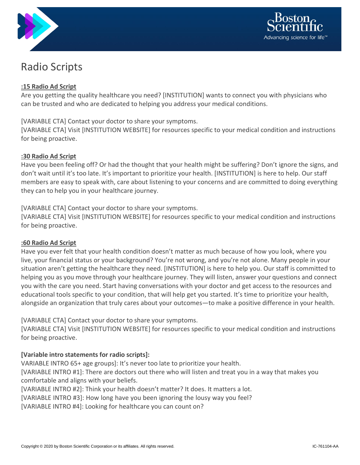



# Radio Scripts

## **:15 Radio Ad Script**

Are you getting the quality healthcare you need? [INSTITUTION] wants to connect you with physicians who can be trusted and who are dedicated to helping you address your medical conditions.

## [VARIABLE CTA] Contact your doctor to share your symptoms.

[VARIABLE CTA] Visit [INSTITUTION WEBSITE] for resources specific to your medical condition and instructions for being proactive.

#### **:30 Radio Ad Script**

Have you been feeling off? Or had the thought that your health might be suffering? Don't ignore the signs, and don't wait until it's too late. It's important to prioritize your health. [INSTITUTION] is here to help. Our staff members are easy to speak with, care about listening to your concerns and are committed to doing everything they can to help you in your healthcare journey.

## [VARIABLE CTA] Contact your doctor to share your symptoms.

[VARIABLE CTA] Visit [INSTITUTION WEBSITE] for resources specific to your medical condition and instructions for being proactive.

#### **:60 Radio Ad Script**

Have you ever felt that your health condition doesn't matter as much because of how you look, where you live, your financial status or your background? You're not wrong, and you're not alone. Many people in your situation aren't getting the healthcare they need. [INSTITUTION] is here to help you. Our staff is committed to helping you as you move through your healthcare journey. They will listen, answer your questions and connect you with the care you need. Start having conversations with your doctor and get access to the resources and educational tools specific to your condition, that will help get you started. It's time to prioritize your health, alongside an organization that truly cares about your outcomes—to make a positive difference in your health.

[VARIABLE CTA] Contact your doctor to share your symptoms.

[VARIABLE CTA] Visit [INSTITUTION WEBSITE] for resources specific to your medical condition and instructions for being proactive.

## **[Variable intro statements for radio scripts]:**

VARIABLE INTRO 65+ age groups]: It's never too late to prioritize your health.

[VARIABLE INTRO #1]: There are doctors out there who will listen and treat you in a way that makes you comfortable and aligns with your beliefs.

[VARIABLE INTRO #2]: Think your health doesn't matter? It does. It matters a lot.

[VARIABLE INTRO #3]: How long have you been ignoring the lousy way you feel?

[VARIABLE INTRO #4]: Looking for healthcare you can count on?